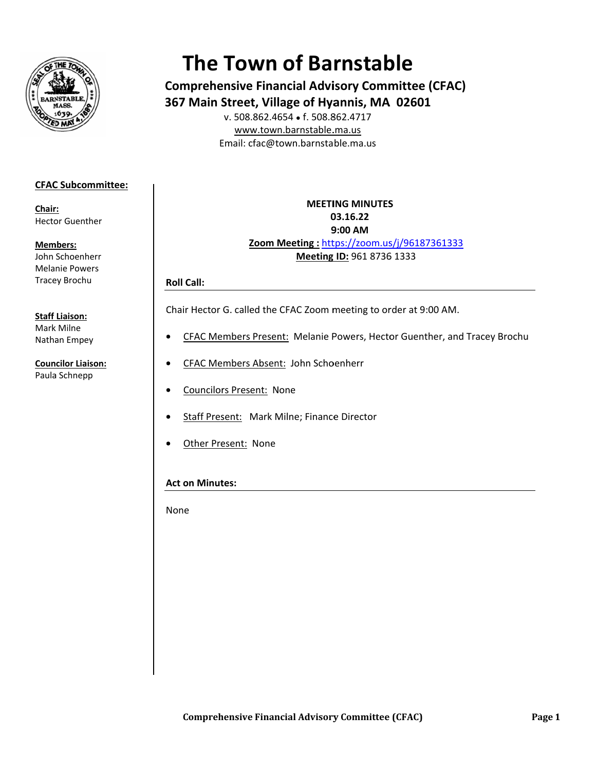

# **The Town of Barnstable**

**Comprehensive Financial Advisory Committee (CFAC)** 367 Main Street, Village of Hyannis, MA 02601 v. 508.862.4654 • f. 508.862.4717

www.town.barnstable.ma.us Email: cfac@town.barnstable.ma.us

## **CFAC Subcommittee:**

Chair: **Hector Guenther** 

**Members:** John Schoenherr

**Melanie Powers Tracev Brochu** 

#### **Staff Liaison:**

Mark Milne Nathan Empey

**Councilor Liaison:** Paula Schnepp

# **MEETING MINUTES** 03.16.22 9:00 AM Zoom Meeting: https://zoom.us/j/96187361333 Meeting ID: 961 8736 1333

### **Roll Call:**

Chair Hector G. called the CFAC Zoom meeting to order at 9:00 AM.

- CFAC Members Present: Melanie Powers, Hector Guenther, and Tracey Brochu
- CFAC Members Absent: John Schoenherr
- **Councilors Present: None**  $\bullet$
- Staff Present: Mark Milne; Finance Director
- Other Present: None  $\bullet$

# **Act on Minutes:**

None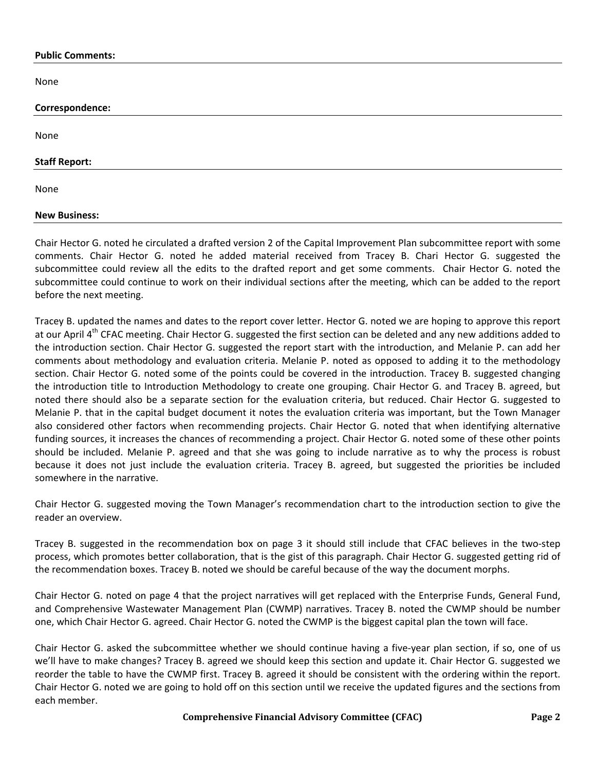#### **Public Comments:**

None

| Correspondence:      |  |  |
|----------------------|--|--|
| None                 |  |  |
| <b>Staff Report:</b> |  |  |
| None                 |  |  |
| <b>New Business:</b> |  |  |

Chair Hector G. noted he circulated a drafted version 2 of the Capital Improvement Plan subcommittee report with some comments. Chair Hector G. noted he added material received from Tracey B. Chari Hector G. suggested the subcommittee could review all the edits to the drafted report and get some comments. Chair Hector G. noted the subcommittee could continue to work on their individual sections after the meeting, which can be added to the report before the next meeting.

Tracey B. updated the names and dates to the report cover letter. Hector G. noted we are hoping to approve this report at our April 4<sup>th</sup> CFAC meeting. Chair Hector G. suggested the first section can be deleted and any new additions added to the introduction section. Chair Hector G. suggested the report start with the introduction, and Melanie P. can add her comments about methodology and evaluation criteria. Melanie P. noted as opposed to adding it to the methodology section. Chair Hector G. noted some of the points could be covered in the introduction. Tracey B. suggested changing the introduction title to Introduction Methodology to create one grouping. Chair Hector G. and Tracey B. agreed, but noted there should also be a separate section for the evaluation criteria, but reduced. Chair Hector G. suggested to Melanie P. that in the capital budget document it notes the evaluation criteria was important, but the Town Manager also considered other factors when recommending projects. Chair Hector G. noted that when identifying alternative funding sources, it increases the chances of recommending a project. Chair Hector G. noted some of these other points should be included. Melanie P. agreed and that she was going to include narrative as to why the process is robust because it does not just include the evaluation criteria. Tracey B. agreed, but suggested the priorities be included somewhere in the narrative.

Chair Hector G. suggested moving the Town Manager's recommendation chart to the introduction section to give the reader an overview.

Tracey B. suggested in the recommendation box on page 3 it should still include that CFAC believes in the two-step process, which promotes better collaboration, that is the gist of this paragraph. Chair Hector G. suggested getting rid of the recommendation boxes. Tracey B. noted we should be careful because of the way the document morphs.

Chair Hector G. noted on page 4 that the project narratives will get replaced with the Enterprise Funds, General Fund, and Comprehensive Wastewater Management Plan (CWMP) narratives. Tracey B. noted the CWMP should be number one, which Chair Hector G. agreed. Chair Hector G. noted the CWMP is the biggest capital plan the town will face.

Chair Hector G. asked the subcommittee whether we should continue having a five-year plan section, if so, one of us we'll have to make changes? Tracey B. agreed we should keep this section and update it. Chair Hector G. suggested we reorder the table to have the CWMP first. Tracey B. agreed it should be consistent with the ordering within the report. Chair Hector G. noted we are going to hold off on this section until we receive the updated figures and the sections from each member.